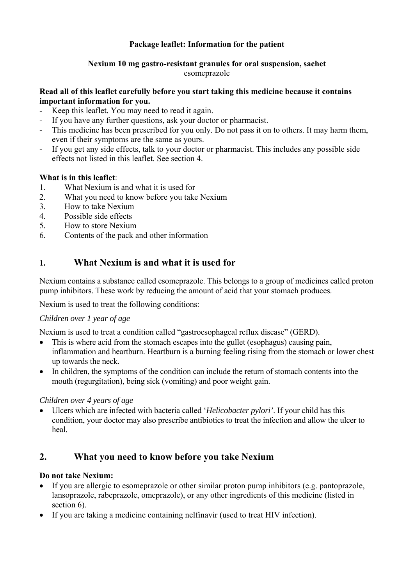## **Package leaflet: Information for the patient**

### **Nexium 10 mg gastro-resistant granules for oral suspension, sachet**  esomeprazole

### **Read all of this leaflet carefully before you start taking this medicine because it contains important information for you.**

- Keep this leaflet. You may need to read it again.
- If you have any further questions, ask your doctor or pharmacist.
- This medicine has been prescribed for you only. Do not pass it on to others. It may harm them, even if their symptoms are the same as yours.
- If you get any side effects, talk to your doctor or pharmacist. This includes any possible side effects not listed in this leaflet. See section 4.

## **What is in this leaflet**:

- 1. What Nexium is and what it is used for
- 2. What you need to know before you take Nexium
- 3. How to take Nexium
- 4. Possible side effects
- 5. How to store Nexium
- 6. Contents of the pack and other information

# **1. What Nexium is and what it is used for**

Nexium contains a substance called esomeprazole. This belongs to a group of medicines called proton pump inhibitors. These work by reducing the amount of acid that your stomach produces.

Nexium is used to treat the following conditions:

## *Children over 1 year of age*

Nexium is used to treat a condition called "gastroesophageal reflux disease" (GERD).

- This is where acid from the stomach escapes into the gullet (esophagus) causing pain, inflammation and heartburn. Heartburn is a burning feeling rising from the stomach or lower chest up towards the neck.
- In children, the symptoms of the condition can include the return of stomach contents into the mouth (regurgitation), being sick (vomiting) and poor weight gain.

## *Children over 4 years of age*

 Ulcers which are infected with bacteria called '*Helicobacter pylori'*. If your child has this condition, your doctor may also prescribe antibiotics to treat the infection and allow the ulcer to heal.

# **2. What you need to know before you take Nexium**

## **Do not take Nexium:**

- If you are allergic to esomeprazole or other similar proton pump inhibitors (e.g. pantoprazole, lansoprazole, rabeprazole, omeprazole), or any other ingredients of this medicine (listed in section 6).
- If you are taking a medicine containing nelfinavir (used to treat HIV infection).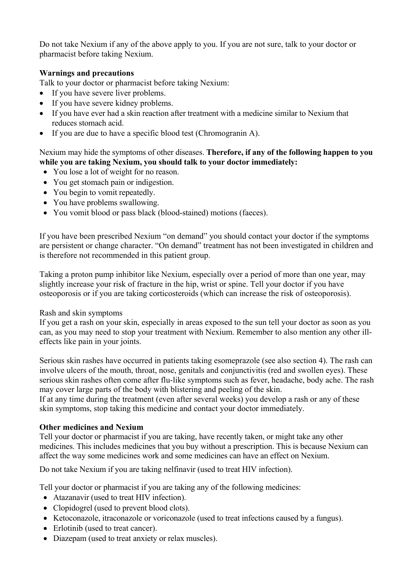Do not take Nexium if any of the above apply to you. If you are not sure, talk to your doctor or pharmacist before taking Nexium.

## **Warnings and precautions**

Talk to your doctor or pharmacist before taking Nexium:

- If you have severe liver problems.
- If you have severe kidney problems.
- If you have ever had a skin reaction after treatment with a medicine similar to Nexium that reduces stomach acid.
- If you are due to have a specific blood test (Chromogranin A).

## Nexium may hide the symptoms of other diseases. **Therefore, if any of the following happen to you while you are taking Nexium, you should talk to your doctor immediately:**

- You lose a lot of weight for no reason.
- You get stomach pain or indigestion.
- You begin to vomit repeatedly.
- You have problems swallowing.
- You vomit blood or pass black (blood-stained) motions (faeces).

If you have been prescribed Nexium "on demand" you should contact your doctor if the symptoms are persistent or change character. "On demand" treatment has not been investigated in children and is therefore not recommended in this patient group.

Taking a proton pump inhibitor like Nexium, especially over a period of more than one year, may slightly increase your risk of fracture in the hip, wrist or spine. Tell your doctor if you have osteoporosis or if you are taking corticosteroids (which can increase the risk of osteoporosis).

#### Rash and skin symptoms

If you get a rash on your skin, especially in areas exposed to the sun tell your doctor as soon as you can, as you may need to stop your treatment with Nexium. Remember to also mention any other illeffects like pain in your joints.

Serious skin rashes have occurred in patients taking esomeprazole (see also section 4). The rash can involve ulcers of the mouth, throat, nose, genitals and conjunctivitis (red and swollen eyes). These serious skin rashes often come after flu-like symptoms such as fever, headache, body ache. The rash may cover large parts of the body with blistering and peeling of the skin.

If at any time during the treatment (even after several weeks) you develop a rash or any of these skin symptoms, stop taking this medicine and contact your doctor immediately.

## **Other medicines and Nexium**

Tell your doctor or pharmacist if you are taking, have recently taken, or might take any other medicines. This includes medicines that you buy without a prescription. This is because Nexium can affect the way some medicines work and some medicines can have an effect on Nexium.

Do not take Nexium if you are taking nelfinavir (used to treat HIV infection).

Tell your doctor or pharmacist if you are taking any of the following medicines:

- Atazanavir (used to treat HIV infection).
- Clopidogrel (used to prevent blood clots).
- Ketoconazole, itraconazole or voriconazole (used to treat infections caused by a fungus).
- Erlotinib (used to treat cancer).
- Diazepam (used to treat anxiety or relax muscles).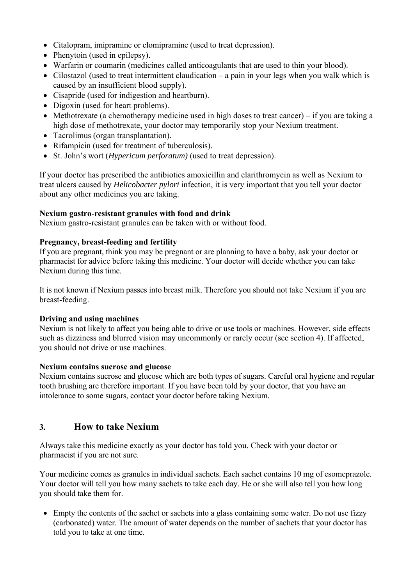- Citalopram, imipramine or clomipramine (used to treat depression).
- Phenytoin (used in epilepsy).
- Warfarin or coumarin (medicines called anticoagulants that are used to thin your blood).
- Cilostazol (used to treat intermittent claudication a pain in your legs when you walk which is caused by an insufficient blood supply).
- Cisapride (used for indigestion and heartburn).
- Digoxin (used for heart problems).
- Methotrexate (a chemotherapy medicine used in high doses to treat cancer) if you are taking a high dose of methotrexate, your doctor may temporarily stop your Nexium treatment.
- Tacrolimus (organ transplantation).
- Rifampicin (used for treatment of tuberculosis).
- St. John's wort (*Hypericum perforatum)* (used to treat depression).

If your doctor has prescribed the antibiotics amoxicillin and clarithromycin as well as Nexium to treat ulcers caused by *Helicobacter pylori* infection, it is very important that you tell your doctor about any other medicines you are taking.

## **Nexium gastro-resistant granules with food and drink**

Nexium gastro-resistant granules can be taken with or without food.

## **Pregnancy, breast-feeding and fertility**

If you are pregnant, think you may be pregnant or are planning to have a baby, ask your doctor or pharmacist for advice before taking this medicine. Your doctor will decide whether you can take Nexium during this time.

It is not known if Nexium passes into breast milk. Therefore you should not take Nexium if you are breast-feeding.

## **Driving and using machines**

Nexium is not likely to affect you being able to drive or use tools or machines. However, side effects such as dizziness and blurred vision may uncommonly or rarely occur (see section 4). If affected, you should not drive or use machines.

## **Nexium contains sucrose and glucose**

Nexium contains sucrose and glucose which are both types of sugars. Careful oral hygiene and regular tooth brushing are therefore important. If you have been told by your doctor, that you have an intolerance to some sugars, contact your doctor before taking Nexium.

## **3. How to take Nexium**

Always take this medicine exactly as your doctor has told you. Check with your doctor or pharmacist if you are not sure.

Your medicine comes as granules in individual sachets. Each sachet contains 10 mg of esomeprazole. Your doctor will tell you how many sachets to take each day. He or she will also tell you how long you should take them for.

• Empty the contents of the sachet or sachets into a glass containing some water. Do not use fizzy (carbonated) water. The amount of water depends on the number of sachets that your doctor has told you to take at one time.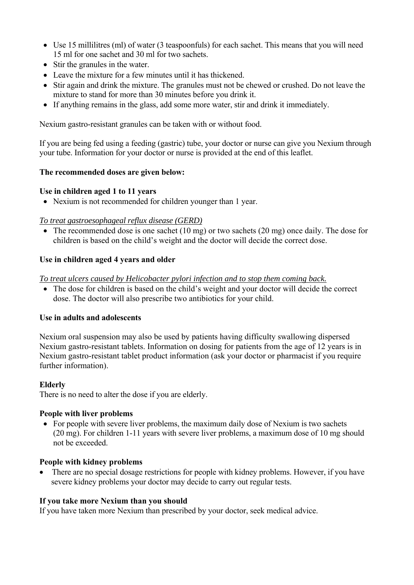- Use 15 millilitres (ml) of water (3 teaspoonfuls) for each sachet. This means that you will need 15 ml for one sachet and 30 ml for two sachets.
- Stir the granules in the water.
- Leave the mixture for a few minutes until it has thickened.
- Stir again and drink the mixture. The granules must not be chewed or crushed. Do not leave the mixture to stand for more than 30 minutes before you drink it.
- If anything remains in the glass, add some more water, stir and drink it immediately.

Nexium gastro-resistant granules can be taken with or without food.

If you are being fed using a feeding (gastric) tube, your doctor or nurse can give you Nexium through your tube. Information for your doctor or nurse is provided at the end of this leaflet.

### **The recommended doses are given below:**

### **Use in children aged 1 to 11 years**

• Nexium is not recommended for children younger than 1 year.

### *To treat gastroesophageal reflux disease (GERD)*

• The recommended dose is one sachet (10 mg) or two sachets (20 mg) once daily. The dose for children is based on the child's weight and the doctor will decide the correct dose.

## **Use in children aged 4 years and older**

*To treat ulcers caused by Helicobacter pylori infection and to stop them coming back.* 

 The dose for children is based on the child's weight and your doctor will decide the correct dose. The doctor will also prescribe two antibiotics for your child.

#### **Use in adults and adolescents**

Nexium oral suspension may also be used by patients having difficulty swallowing dispersed Nexium gastro-resistant tablets. Information on dosing for patients from the age of 12 years is in Nexium gastro-resistant tablet product information (ask your doctor or pharmacist if you require further information).

#### **Elderly**

There is no need to alter the dose if you are elderly.

#### **People with liver problems**

• For people with severe liver problems, the maximum daily dose of Nexium is two sachets (20 mg). For children 1-11 years with severe liver problems, a maximum dose of 10 mg should not be exceeded.

#### **People with kidney problems**

 There are no special dosage restrictions for people with kidney problems. However, if you have severe kidney problems your doctor may decide to carry out regular tests.

#### **If you take more Nexium than you should**

If you have taken more Nexium than prescribed by your doctor, seek medical advice.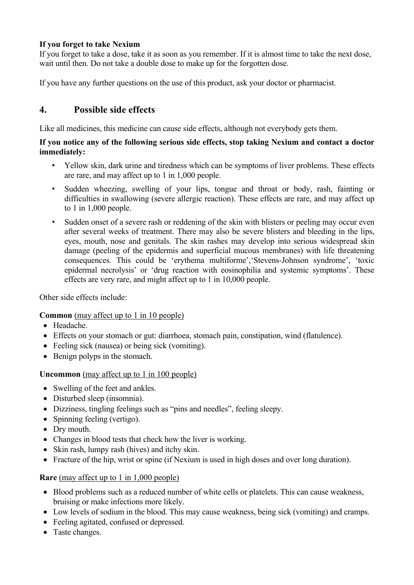## **If you forget to take Nexium**

If you forget to take a dose, take it as soon as you remember. If it is almost time to take the next dose, wait until then. Do not take a double dose to make up for the forgotten dose.

If you have any further questions on the use of this product, ask your doctor or pharmacist.

# **4. Possible side effects**

Like all medicines, this medicine can cause side effects, although not everybody gets them.

### **If you notice any of the following serious side effects, stop taking Nexium and contact a doctor immediately:**

- Yellow skin, dark urine and tiredness which can be symptoms of liver problems. These effects are rare, and may affect up to 1 in 1,000 people.
- Sudden wheezing, swelling of your lips, tongue and throat or body, rash, fainting or difficulties in swallowing (severe allergic reaction). These effects are rare, and may affect up to 1 in 1,000 people.
- Sudden onset of a severe rash or reddening of the skin with blisters or peeling may occur even after several weeks of treatment. There may also be severe blisters and bleeding in the lips, eyes, mouth, nose and genitals. The skin rashes may develop into serious widespread skin damage (peeling of the epidermis and superficial mucous membranes) with life threatening consequences. This could be 'erythema multiforme','Stevens-Johnson syndrome', 'toxic epidermal necrolysis' or 'drug reaction with eosinophilia and systemic symptoms'. These effects are very rare, and might affect up to 1 in 10,000 people.

Other side effects include:

**Common** (may affect up to 1 in 10 people)

- Headache.
- Effects on your stomach or gut: diarrhoea, stomach pain, constipation, wind (flatulence).
- Feeling sick (nausea) or being sick (vomiting).
- Benign polyps in the stomach.

## **Uncommon** (may affect up to 1 in 100 people)

- Swelling of the feet and ankles.
- Disturbed sleep (insomnia).
- Dizziness, tingling feelings such as "pins and needles", feeling sleepy.
- Spinning feeling (vertigo).
- Dry mouth.
- Changes in blood tests that check how the liver is working.
- Skin rash, lumpy rash (hives) and itchy skin.
- Fracture of the hip, wrist or spine (if Nexium is used in high doses and over long duration).

## **Rare** (may affect up to 1 in 1,000 people)

- Blood problems such as a reduced number of white cells or platelets. This can cause weakness, bruising or make infections more likely.
- Low levels of sodium in the blood. This may cause weakness, being sick (vomiting) and cramps.
- Feeling agitated, confused or depressed.
- Taste changes.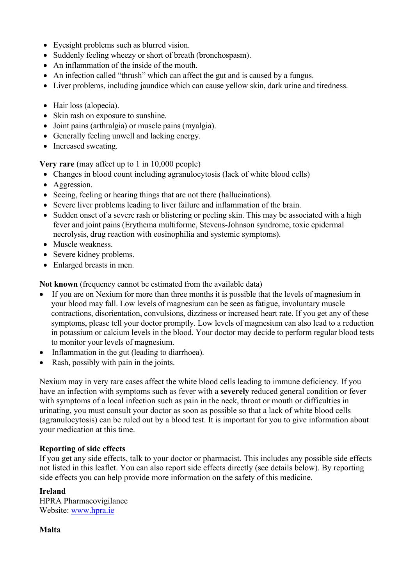- Eyesight problems such as blurred vision.
- Suddenly feeling wheezy or short of breath (bronchospasm).
- An inflammation of the inside of the mouth.
- An infection called "thrush" which can affect the gut and is caused by a fungus.
- Liver problems, including jaundice which can cause yellow skin, dark urine and tiredness.
- Hair loss (alopecia).
- Skin rash on exposure to sunshine.
- Joint pains (arthralgia) or muscle pains (myalgia).
- Generally feeling unwell and lacking energy.
- Increased sweating.

**Very rare** (may affect up to 1 in 10,000 people)

- Changes in blood count including agranulocytosis (lack of white blood cells)
- Aggression.
- Seeing, feeling or hearing things that are not there (hallucinations).
- Severe liver problems leading to liver failure and inflammation of the brain.
- Sudden onset of a severe rash or blistering or peeling skin. This may be associated with a high fever and joint pains (Erythema multiforme, Stevens-Johnson syndrome, toxic epidermal necrolysis, drug reaction with eosinophilia and systemic symptoms).
- Muscle weakness.
- Severe kidney problems.
- Enlarged breasts in men.

**Not known** (frequency cannot be estimated from the available data)

- If you are on Nexium for more than three months it is possible that the levels of magnesium in your blood may fall. Low levels of magnesium can be seen as fatigue, involuntary muscle contractions, disorientation, convulsions, dizziness or increased heart rate. If you get any of these symptoms, please tell your doctor promptly. Low levels of magnesium can also lead to a reduction in potassium or calcium levels in the blood. Your doctor may decide to perform regular blood tests to monitor your levels of magnesium.
- Inflammation in the gut (leading to diarrhoea).
- Rash, possibly with pain in the joints.

Nexium may in very rare cases affect the white blood cells leading to immune deficiency. If you have an infection with symptoms such as fever with a **severely** reduced general condition or fever with symptoms of a local infection such as pain in the neck, throat or mouth or difficulties in urinating, you must consult your doctor as soon as possible so that a lack of white blood cells (agranulocytosis) can be ruled out by a blood test. It is important for you to give information about your medication at this time.

#### **Reporting of side effects**

If you get any side effects, talk to your doctor or pharmacist. This includes any possible side effects not listed in this leaflet. You can also report side effects directly (see details below). By reporting side effects you can help provide more information on the safety of this medicine.

#### **Ireland**  HPRA Pharmacovigilance Website: www.hpra.ie

**Malta**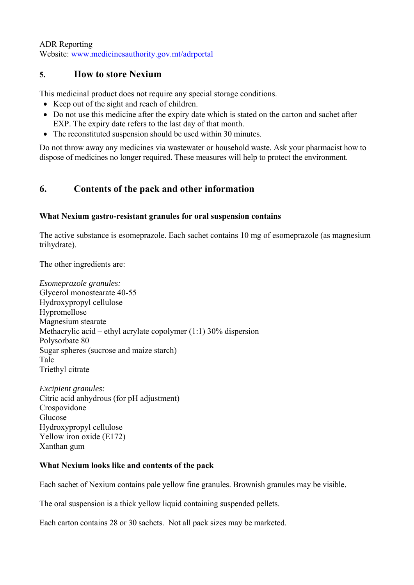ADR Reporting Website: www.medicinesauthority.gov.mt/adrportal

# **5. How to store Nexium**

This medicinal product does not require any special storage conditions.

- Keep out of the sight and reach of children.
- Do not use this medicine after the expiry date which is stated on the carton and sachet after EXP. The expiry date refers to the last day of that month.
- The reconstituted suspension should be used within 30 minutes.

Do not throw away any medicines via wastewater or household waste. Ask your pharmacist how to dispose of medicines no longer required. These measures will help to protect the environment.

# **6. Contents of the pack and other information**

## **What Nexium gastro-resistant granules for oral suspension contains**

The active substance is esomeprazole. Each sachet contains 10 mg of esomeprazole (as magnesium trihydrate).

The other ingredients are:

*Esomeprazole granules:* Glycerol monostearate 40-55 Hydroxypropyl cellulose Hypromellose Magnesium stearate Methacrylic acid – ethyl acrylate copolymer (1:1) 30% dispersion Polysorbate 80 Sugar spheres (sucrose and maize starch) Talc Triethyl citrate

*Excipient granules:*  Citric acid anhydrous (for pH adjustment) Crospovidone Glucose Hydroxypropyl cellulose Yellow iron oxide (E172) Xanthan gum

## **What Nexium looks like and contents of the pack**

Each sachet of Nexium contains pale yellow fine granules. Brownish granules may be visible.

The oral suspension is a thick yellow liquid containing suspended pellets.

Each carton contains 28 or 30 sachets. Not all pack sizes may be marketed.